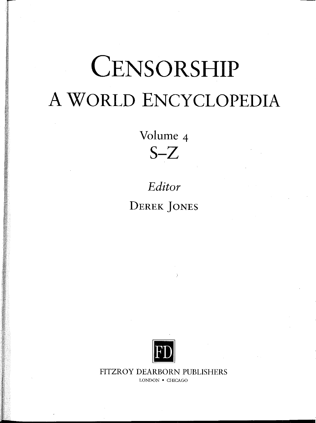# **CENSORSHIP** A WORLD ENCYCLOPEDIA

Volume 4  $S-Z$ 

# *Editor* DEREK JONES



FITZROY DEARBORN PUBLISHERS LONDON • CHICAGO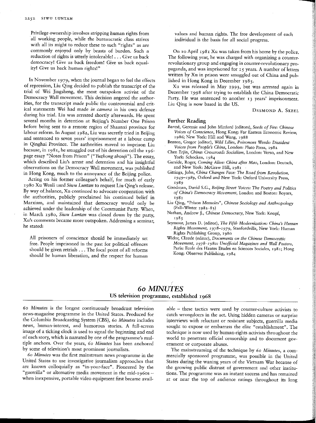Privilege ownership involves stripping human rights from all working people, while the bureaucratic class strives with all its might to reduce these to such "rights" as are commonly enjoyed only by beasts of burden. Such a reduction of rights is utterly intolerable!  $\ldots$  Give us back democracy! Give us back freedom! Give us back equality! Give us back human rights!"

In November 1979, when the journal began to feel the effects of repression, Liu Qing decided to publish the transcript of the trial of Wei jingsheng, the most outspoken activist of the Democracy Wall movement. This decision angered the authorities, for the transcript made public the controversial and critical statements Wei had made *in camera* in his own defence during his trial. Liu was arrested shortly afterwards. He spent several months in detention at Beijing's Number One Prison before being sent to a remote region of Shaanxi province for labour reform. In August 1982, Liu was secretly tried in Beijing and sentenced to seven years' imprisonment at a labour camp in Qinghai Province. The authorities moved to imprison Liu because, in 1981, he smuggled out of his detention cell the 196 page essay "Notes from Prison" *("Yuzhong shouji").* The essay, which described Liu's arrest and detention and his insightful observations on the Democracy Wall movement, was published in Hong Kong, much to the annoyance of the Beijing police.

Acting on his former colleague's behalf, for much of early 1980 Xu Wenli used *Situu Luntan* to request Liu Qing's release. By way of.balance, Xu continued to advocate cooperation with the authorities, publicly proclaimed his continued belief in Marxism, and maintained that democracy would only be achieved under the leadership of the Communist Party. When, in March 1980, *Stunt Luntan* was closed down by the party, Xu's comments became more outspoken. Addressing a seminar, he stated:

All prisoners of conscience should be immediately set free. People imprisoned in the past for political offences should be given retrials  $\ldots$  The focal point of all reforms should be human liberation, and the respect for human

values and human rights. The free development of each individual is the basis for all social progress.

On to April 1981 Xu was taken from his home by the police. The following year, he was charged with organizing a counterrevolutionary group and engaging in counter-revolutionary propaganda, and was imprisoned for 15 years. A number of letters written by Xu in prison were smuggled out of China and published in Hong Kong in December 1985.

Xu was released in May 1993, but was arrested again in December 1998 after trying to establish the China Democratic Party. He was sentenced to another 13 years' imprisonment. Liu Qing is now based in the US.

DESMOND A. SKEEL

## Further Reading

- Barme, Geremie and John Minford (editors), *Seeds of Eire: Chinese Voices of Conscience,* Hong Kong: Far Eastern Economic Review, 1986; New York: Hill and Wang, 1988
- *Benton, Gregor (editor), Wild Lilies, Poisonous Weeds: Dissident Voices from People's China, London: Pluto Press, 1982*
- Chen Erjin, *China: Crossroads Socialism,* London: Verso, and New York: Schocken, 1984
- Garside, Roger, *Coming Alive: China after Mao,* London: Deutsch, and New York: McGraw Hill, 1981
- *Gittings, John, China Changes Face: The Road from Revolution, 1949—x989,* Oxford and New York: Oxford University Press, 1989
- *Goodman, David S.C., Beijing Street Voices: The Poetry and Politics of China's Democracy Movement, London and Boston: Boyars,* 1981
- *Liu Qing, "Prison Memoirs", Chinese Sociology and Anthropology* (Fall—Winter 1982-83)
- Nathan, Andrew j., *Chinese Democracy,* New York: Knopf, 1985
- *Seymour, James D. (editor), The Fifth Modernization: China's Human Rights Movement,* 1978-1979, Stanfordville, New York: Human Rights Publishing Group, 1980
- *Widor, Claude (editor), Documents on the Chinese Democratic Movement, 1978-1980: Unofficial Magazines and Wall Posters,* Paris: Ecole des Hautes Etudes en Sciences Sociales, x981; Hong Kong; Observer Publishing, 1984

# *6o MINUTES* US television programme, established 1968

6o *Minutes is* the longest continuously broadcast television news-magazine programme in the United States. Produced for the Columbia Broadcasting System (CBS), *6o Minutes* includes news, human-interest, and humorous stories. A full-screen image of a ticking clock is used to signal the beginning and end of each story, which is narrated by one of the programme's multiple anchors. Over the years, *6o Minutes* has been anchored by some of television's most prominent journalists.

o*Minutes* was the first mainstream news programme in the United States to use investigative journalism approaches that are known colloquially as "in-your-face". Pioneered by the "guerrilla" or alternative media movement in the mid-196os when inexpensive, portable video equipment first became available - these tactics were used by counter-culture activists to catch wrongdoers in the act. Using hidden cameras or surprise interviews with reluctant or resistant subjects, guerrilla media sought to expose or embarrass the elite "establishment". The technique is now used by human-rights activists throughout the world to penetrate official censorship and to document government or corporate abuses.

The mainstreaming of the technique by 6o *Minutes,* a commercially sponsored programme, was possible in the United States during the waning years of the Vietnam War because of the growing public distrust of government and other institutions. The programme was an instant success and has remained at or near the top of audience ratings throughout its long